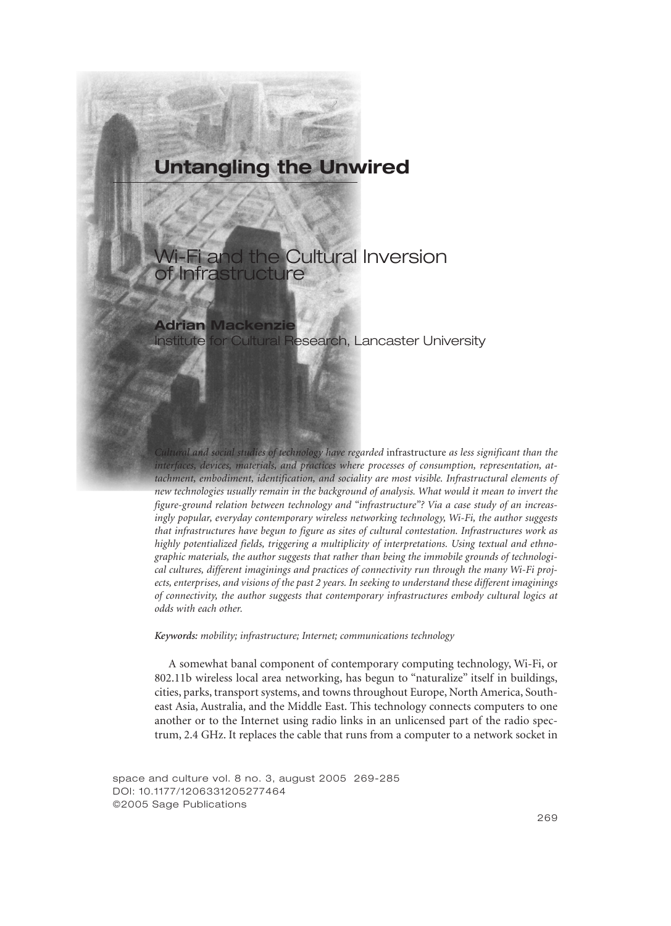# **Untangling the Unwired**

# the Cultural Inversion Infrastructure

# **Adrian** Institute for Cultural Research, Lancaster University

*Cultural and social studies of technology have regarded* infrastructure *as less significant than the interfaces, devices, materials, and practices where processes of consumption, representation, attachment, embodiment, identification, and sociality are most visible. Infrastructural elements of new technologies usually remain in the background of analysis. What would it mean to invert the figure-ground relation between technology and "infrastructure"? Via a case study of an increasingly popular, everyday contemporary wireless networking technology, Wi-Fi, the author suggests that infrastructures have begun to figure as sites of cultural contestation. Infrastructures work as highly potentialized fields, triggering a multiplicity of interpretations. Using textual and ethnographic materials, the author suggests that rather than being the immobile grounds of technological cultures, different imaginings and practices of connectivity run through the many Wi-Fi projects, enterprises, and visions of the past 2 years. In seeking to understand these different imaginings of connectivity, the author suggests that contemporary infrastructures embody cultural logics at odds with each other.*

*Keywords: mobility; infrastructure; Internet; communications technology*

A somewhat banal component of contemporary computing technology, Wi-Fi, or 802.11b wireless local area networking, has begun to "naturalize" itself in buildings, cities, parks, transport systems, and towns throughout Europe, North America, Southeast Asia, Australia, and the Middle East. This technology connects computers to one another or to the Internet using radio links in an unlicensed part of the radio spectrum, 2.4 GHz. It replaces the cable that runs from a computer to a network socket in

space and culture vol. 8 no. 3, august 2005 269-285 DOI: 10.1177/1206331205277464 ©2005 Sage Publications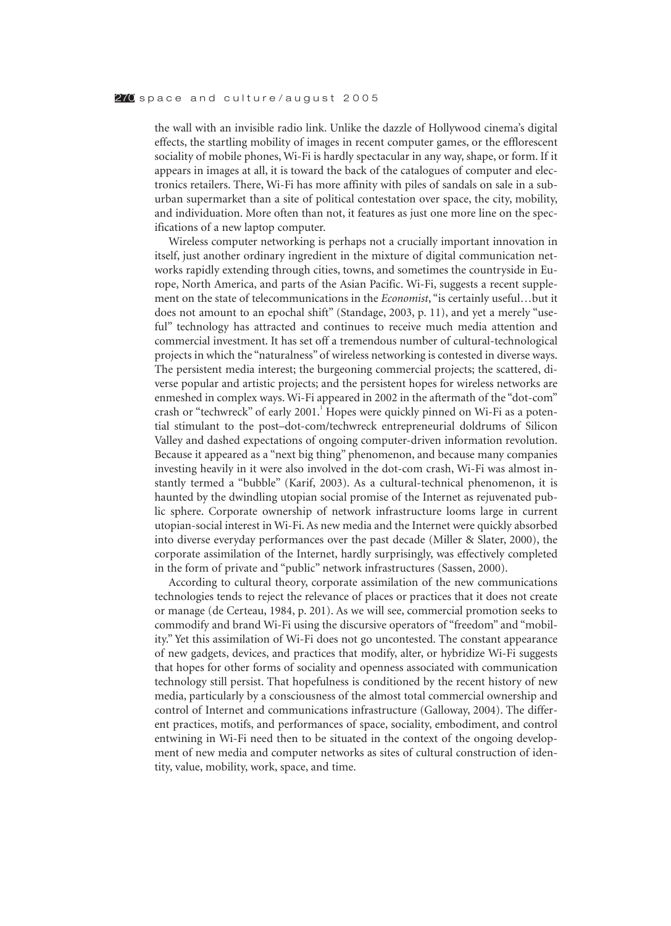the wall with an invisible radio link. Unlike the dazzle of Hollywood cinema's digital effects, the startling mobility of images in recent computer games, or the efflorescent sociality of mobile phones, Wi-Fi is hardly spectacular in any way, shape, or form. If it appears in images at all, it is toward the back of the catalogues of computer and electronics retailers. There, Wi-Fi has more affinity with piles of sandals on sale in a suburban supermarket than a site of political contestation over space, the city, mobility, and individuation. More often than not, it features as just one more line on the specifications of a new laptop computer.

Wireless computer networking is perhaps not a crucially important innovation in itself, just another ordinary ingredient in the mixture of digital communication networks rapidly extending through cities, towns, and sometimes the countryside in Europe, North America, and parts of the Asian Pacific. Wi-Fi, suggests a recent supplement on the state of telecommunications in the *Economist*, "is certainly useful…but it does not amount to an epochal shift" (Standage, 2003, p. 11), and yet a merely "useful" technology has attracted and continues to receive much media attention and commercial investment. It has set off a tremendous number of cultural-technological projects in which the "naturalness" of wireless networking is contested in diverse ways. The persistent media interest; the burgeoning commercial projects; the scattered, diverse popular and artistic projects; and the persistent hopes for wireless networks are enmeshed in complex ways. Wi-Fi appeared in 2002 in the aftermath of the "dot-com" crash or "techwreck" of early 2001.<sup>1</sup> Hopes were quickly pinned on Wi-Fi as a potential stimulant to the post–dot-com/techwreck entrepreneurial doldrums of Silicon Valley and dashed expectations of ongoing computer-driven information revolution. Because it appeared as a "next big thing" phenomenon, and because many companies investing heavily in it were also involved in the dot-com crash, Wi-Fi was almost instantly termed a "bubble" (Karif, 2003). As a cultural-technical phenomenon, it is haunted by the dwindling utopian social promise of the Internet as rejuvenated public sphere. Corporate ownership of network infrastructure looms large in current utopian-social interest in Wi-Fi. As new media and the Internet were quickly absorbed into diverse everyday performances over the past decade (Miller & Slater, 2000), the corporate assimilation of the Internet, hardly surprisingly, was effectively completed in the form of private and "public" network infrastructures (Sassen, 2000).

According to cultural theory, corporate assimilation of the new communications technologies tends to reject the relevance of places or practices that it does not create or manage (de Certeau, 1984, p. 201). As we will see, commercial promotion seeks to commodify and brand Wi-Fi using the discursive operators of "freedom" and "mobility." Yet this assimilation of Wi-Fi does not go uncontested. The constant appearance of new gadgets, devices, and practices that modify, alter, or hybridize Wi-Fi suggests that hopes for other forms of sociality and openness associated with communication technology still persist. That hopefulness is conditioned by the recent history of new media, particularly by a consciousness of the almost total commercial ownership and control of Internet and communications infrastructure (Galloway, 2004). The different practices, motifs, and performances of space, sociality, embodiment, and control entwining in Wi-Fi need then to be situated in the context of the ongoing development of new media and computer networks as sites of cultural construction of identity, value, mobility, work, space, and time.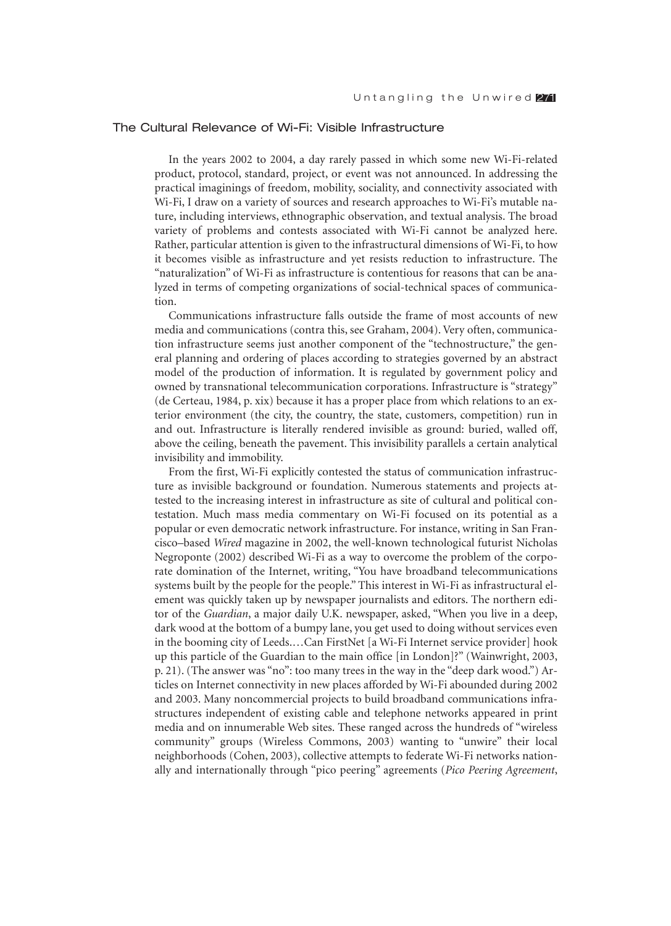# The Cultural Relevance of Wi-Fi: Visible Infrastructure

In the years 2002 to 2004, a day rarely passed in which some new Wi-Fi-related product, protocol, standard, project, or event was not announced. In addressing the practical imaginings of freedom, mobility, sociality, and connectivity associated with Wi-Fi, I draw on a variety of sources and research approaches to Wi-Fi's mutable nature, including interviews, ethnographic observation, and textual analysis. The broad variety of problems and contests associated with Wi-Fi cannot be analyzed here. Rather, particular attention is given to the infrastructural dimensions of Wi-Fi, to how it becomes visible as infrastructure and yet resists reduction to infrastructure. The "naturalization" of Wi-Fi as infrastructure is contentious for reasons that can be analyzed in terms of competing organizations of social-technical spaces of communication.

Communications infrastructure falls outside the frame of most accounts of new media and communications (contra this, see Graham, 2004). Very often, communication infrastructure seems just another component of the "technostructure," the general planning and ordering of places according to strategies governed by an abstract model of the production of information. It is regulated by government policy and owned by transnational telecommunication corporations. Infrastructure is "strategy" (de Certeau, 1984, p. xix) because it has a proper place from which relations to an exterior environment (the city, the country, the state, customers, competition) run in and out. Infrastructure is literally rendered invisible as ground: buried, walled off, above the ceiling, beneath the pavement. This invisibility parallels a certain analytical invisibility and immobility.

From the first, Wi-Fi explicitly contested the status of communication infrastructure as invisible background or foundation. Numerous statements and projects attested to the increasing interest in infrastructure as site of cultural and political contestation. Much mass media commentary on Wi-Fi focused on its potential as a popular or even democratic network infrastructure. For instance, writing in San Francisco–based *Wired* magazine in 2002, the well-known technological futurist Nicholas Negroponte (2002) described Wi-Fi as a way to overcome the problem of the corporate domination of the Internet, writing, "You have broadband telecommunications systems built by the people for the people." This interest in Wi-Fi as infrastructural element was quickly taken up by newspaper journalists and editors. The northern editor of the *Guardian*, a major daily U.K. newspaper, asked, "When you live in a deep, dark wood at the bottom of a bumpy lane, you get used to doing without services even in the booming city of Leeds.…Can FirstNet [a Wi-Fi Internet service provider] hook up this particle of the Guardian to the main office [in London]?" (Wainwright, 2003, p. 21). (The answer was "no": too many trees in the way in the "deep dark wood.") Articles on Internet connectivity in new places afforded by Wi-Fi abounded during 2002 and 2003. Many noncommercial projects to build broadband communications infrastructures independent of existing cable and telephone networks appeared in print media and on innumerable Web sites. These ranged across the hundreds of "wireless community" groups (Wireless Commons, 2003) wanting to "unwire" their local neighborhoods (Cohen, 2003), collective attempts to federate Wi-Fi networks nationally and internationally through "pico peering" agreements (*Pico Peering Agreement*,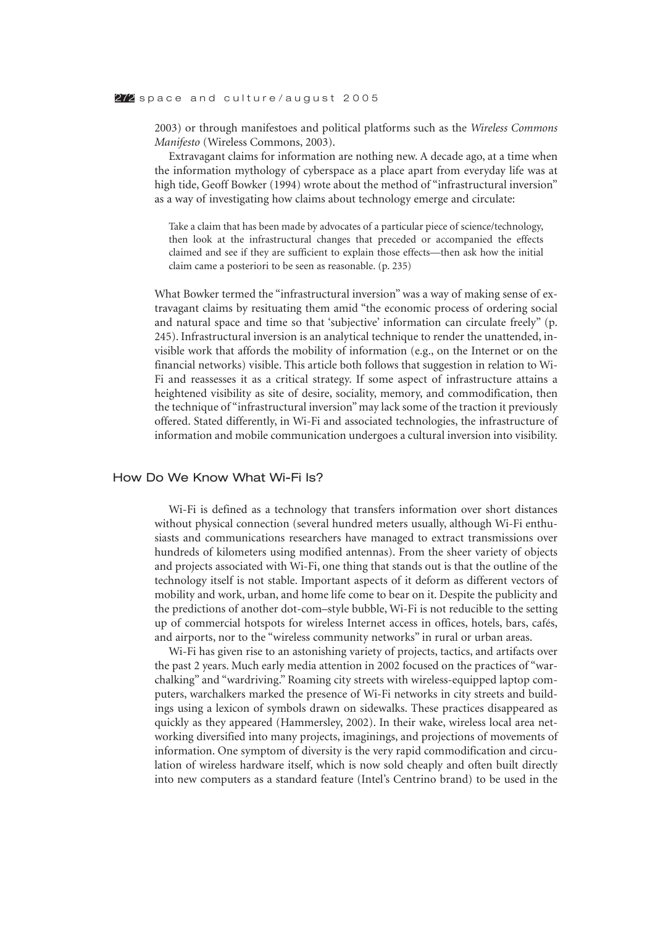2003) or through manifestoes and political platforms such as the *Wireless Commons Manifesto* (Wireless Commons, 2003).

Extravagant claims for information are nothing new. A decade ago, at a time when the information mythology of cyberspace as a place apart from everyday life was at high tide, Geoff Bowker (1994) wrote about the method of "infrastructural inversion" as a way of investigating how claims about technology emerge and circulate:

Take a claim that has been made by advocates of a particular piece of science/technology, then look at the infrastructural changes that preceded or accompanied the effects claimed and see if they are sufficient to explain those effects—then ask how the initial claim came a posteriori to be seen as reasonable. (p. 235)

What Bowker termed the "infrastructural inversion" was a way of making sense of extravagant claims by resituating them amid "the economic process of ordering social and natural space and time so that 'subjective' information can circulate freely" (p. 245). Infrastructural inversion is an analytical technique to render the unattended, invisible work that affords the mobility of information (e.g., on the Internet or on the financial networks) visible. This article both follows that suggestion in relation to Wi-Fi and reassesses it as a critical strategy. If some aspect of infrastructure attains a heightened visibility as site of desire, sociality, memory, and commodification, then the technique of "infrastructural inversion" may lack some of the traction it previously offered. Stated differently, in Wi-Fi and associated technologies, the infrastructure of information and mobile communication undergoes a cultural inversion into visibility.

#### How Do We Know What Wi-Fi Is?

Wi-Fi is defined as a technology that transfers information over short distances without physical connection (several hundred meters usually, although Wi-Fi enthusiasts and communications researchers have managed to extract transmissions over hundreds of kilometers using modified antennas). From the sheer variety of objects and projects associated with Wi-Fi, one thing that stands out is that the outline of the technology itself is not stable. Important aspects of it deform as different vectors of mobility and work, urban, and home life come to bear on it. Despite the publicity and the predictions of another dot-com–style bubble, Wi-Fi is not reducible to the setting up of commercial hotspots for wireless Internet access in offices, hotels, bars, cafés, and airports, nor to the "wireless community networks" in rural or urban areas.

Wi-Fi has given rise to an astonishing variety of projects, tactics, and artifacts over the past 2 years. Much early media attention in 2002 focused on the practices of "warchalking" and "wardriving." Roaming city streets with wireless-equipped laptop computers, warchalkers marked the presence of Wi-Fi networks in city streets and buildings using a lexicon of symbols drawn on sidewalks. These practices disappeared as quickly as they appeared (Hammersley, 2002). In their wake, wireless local area networking diversified into many projects, imaginings, and projections of movements of information. One symptom of diversity is the very rapid commodification and circulation of wireless hardware itself, which is now sold cheaply and often built directly into new computers as a standard feature (Intel's Centrino brand) to be used in the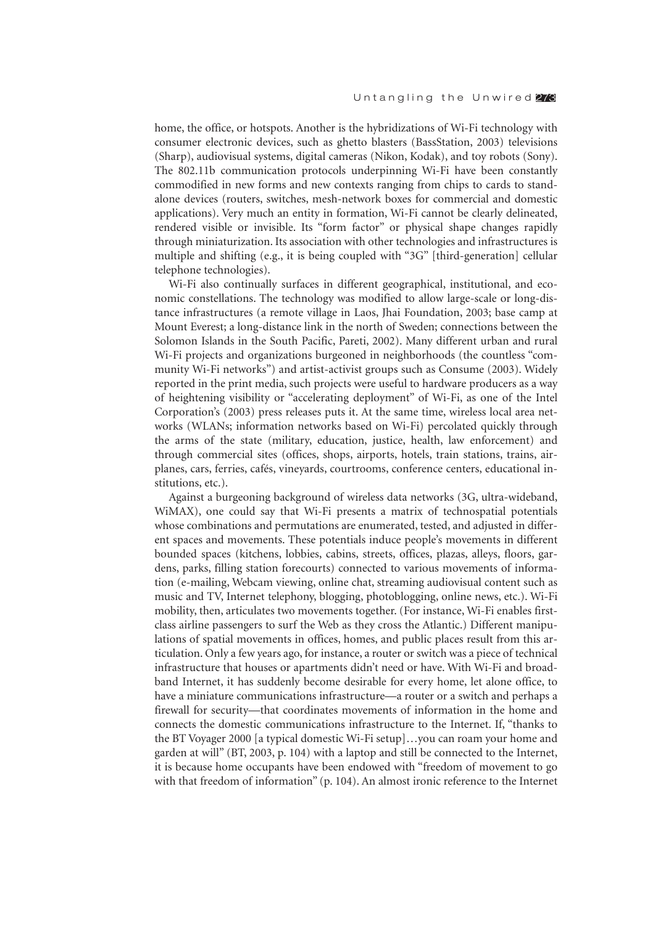home, the office, or hotspots. Another is the hybridizations of Wi-Fi technology with consumer electronic devices, such as ghetto blasters (BassStation, 2003) televisions (Sharp), audiovisual systems, digital cameras (Nikon, Kodak), and toy robots (Sony). The 802.11b communication protocols underpinning Wi-Fi have been constantly commodified in new forms and new contexts ranging from chips to cards to standalone devices (routers, switches, mesh-network boxes for commercial and domestic applications). Very much an entity in formation, Wi-Fi cannot be clearly delineated, rendered visible or invisible. Its "form factor" or physical shape changes rapidly through miniaturization. Its association with other technologies and infrastructures is multiple and shifting (e.g., it is being coupled with "3G" [third-generation] cellular telephone technologies).

Wi-Fi also continually surfaces in different geographical, institutional, and economic constellations. The technology was modified to allow large-scale or long-distance infrastructures (a remote village in Laos, Jhai Foundation, 2003; base camp at Mount Everest; a long-distance link in the north of Sweden; connections between the Solomon Islands in the South Pacific, Pareti, 2002). Many different urban and rural Wi-Fi projects and organizations burgeoned in neighborhoods (the countless "community Wi-Fi networks") and artist-activist groups such as Consume (2003). Widely reported in the print media, such projects were useful to hardware producers as a way of heightening visibility or "accelerating deployment" of Wi-Fi, as one of the Intel Corporation's (2003) press releases puts it. At the same time, wireless local area networks (WLANs; information networks based on Wi-Fi) percolated quickly through the arms of the state (military, education, justice, health, law enforcement) and through commercial sites (offices, shops, airports, hotels, train stations, trains, airplanes, cars, ferries, cafés, vineyards, courtrooms, conference centers, educational institutions, etc.).

Against a burgeoning background of wireless data networks (3G, ultra-wideband, WiMAX), one could say that Wi-Fi presents a matrix of technospatial potentials whose combinations and permutations are enumerated, tested, and adjusted in different spaces and movements. These potentials induce people's movements in different bounded spaces (kitchens, lobbies, cabins, streets, offices, plazas, alleys, floors, gardens, parks, filling station forecourts) connected to various movements of information (e-mailing, Webcam viewing, online chat, streaming audiovisual content such as music and TV, Internet telephony, blogging, photoblogging, online news, etc.). Wi-Fi mobility, then, articulates two movements together. (For instance, Wi-Fi enables firstclass airline passengers to surf the Web as they cross the Atlantic.) Different manipulations of spatial movements in offices, homes, and public places result from this articulation. Only a few years ago, for instance, a router or switch was a piece of technical infrastructure that houses or apartments didn't need or have. With Wi-Fi and broadband Internet, it has suddenly become desirable for every home, let alone office, to have a miniature communications infrastructure—a router or a switch and perhaps a firewall for security—that coordinates movements of information in the home and connects the domestic communications infrastructure to the Internet. If, "thanks to the BT Voyager 2000 [a typical domestic Wi-Fi setup]…you can roam your home and garden at will" (BT, 2003, p. 104) with a laptop and still be connected to the Internet, it is because home occupants have been endowed with "freedom of movement to go with that freedom of information" (p. 104). An almost ironic reference to the Internet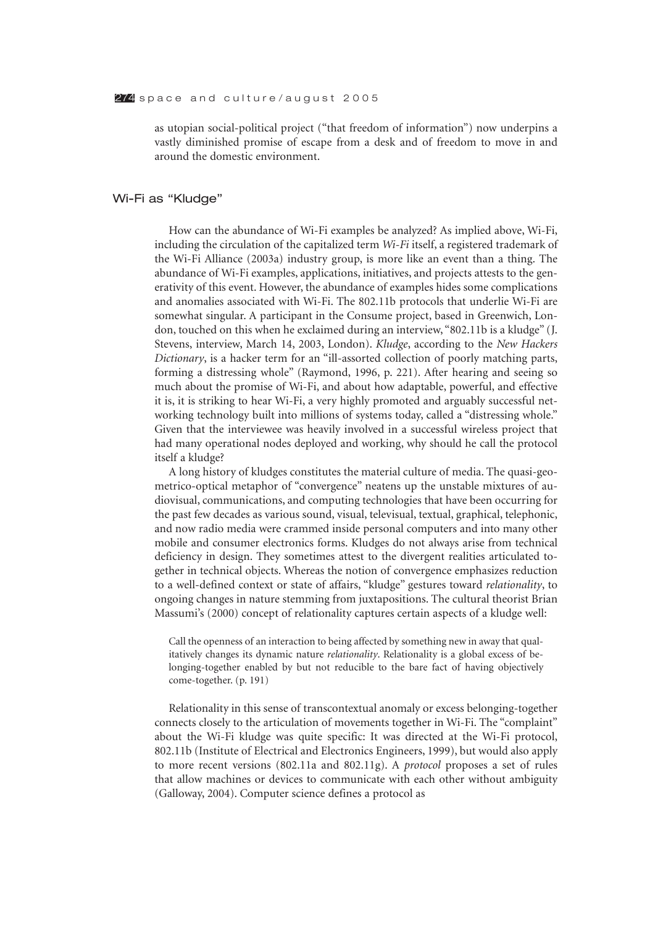as utopian social-political project ("that freedom of information") now underpins a vastly diminished promise of escape from a desk and of freedom to move in and around the domestic environment.

# Wi-Fi as "Kludge"

How can the abundance of Wi-Fi examples be analyzed? As implied above, Wi-Fi, including the circulation of the capitalized term *Wi-Fi* itself, a registered trademark of the Wi-Fi Alliance (2003a) industry group, is more like an event than a thing. The abundance of Wi-Fi examples, applications, initiatives, and projects attests to the generativity of this event. However, the abundance of examples hides some complications and anomalies associated with Wi-Fi. The 802.11b protocols that underlie Wi-Fi are somewhat singular. A participant in the Consume project, based in Greenwich, London, touched on this when he exclaimed during an interview, "802.11b is a kludge" (J. Stevens, interview, March 14, 2003, London). *Kludge*, according to the *New Hackers Dictionary*, is a hacker term for an "ill-assorted collection of poorly matching parts, forming a distressing whole" (Raymond, 1996, p. 221). After hearing and seeing so much about the promise of Wi-Fi, and about how adaptable, powerful, and effective it is, it is striking to hear Wi-Fi, a very highly promoted and arguably successful networking technology built into millions of systems today, called a "distressing whole." Given that the interviewee was heavily involved in a successful wireless project that had many operational nodes deployed and working, why should he call the protocol itself a kludge?

A long history of kludges constitutes the material culture of media. The quasi-geometrico-optical metaphor of "convergence" neatens up the unstable mixtures of audiovisual, communications, and computing technologies that have been occurring for the past few decades as various sound, visual, televisual, textual, graphical, telephonic, and now radio media were crammed inside personal computers and into many other mobile and consumer electronics forms. Kludges do not always arise from technical deficiency in design. They sometimes attest to the divergent realities articulated together in technical objects. Whereas the notion of convergence emphasizes reduction to a well-defined context or state of affairs, "kludge" gestures toward *relationality*, to ongoing changes in nature stemming from juxtapositions. The cultural theorist Brian Massumi's (2000) concept of relationality captures certain aspects of a kludge well:

Call the openness of an interaction to being affected by something new in away that qualitatively changes its dynamic nature *relationality*. Relationality is a global excess of belonging-together enabled by but not reducible to the bare fact of having objectively come-together. (p. 191)

Relationality in this sense of transcontextual anomaly or excess belonging-together connects closely to the articulation of movements together in Wi-Fi. The "complaint" about the Wi-Fi kludge was quite specific: It was directed at the Wi-Fi protocol, 802.11b (Institute of Electrical and Electronics Engineers, 1999), but would also apply to more recent versions (802.11a and 802.11g). A *protocol* proposes a set of rules that allow machines or devices to communicate with each other without ambiguity (Galloway, 2004). Computer science defines a protocol as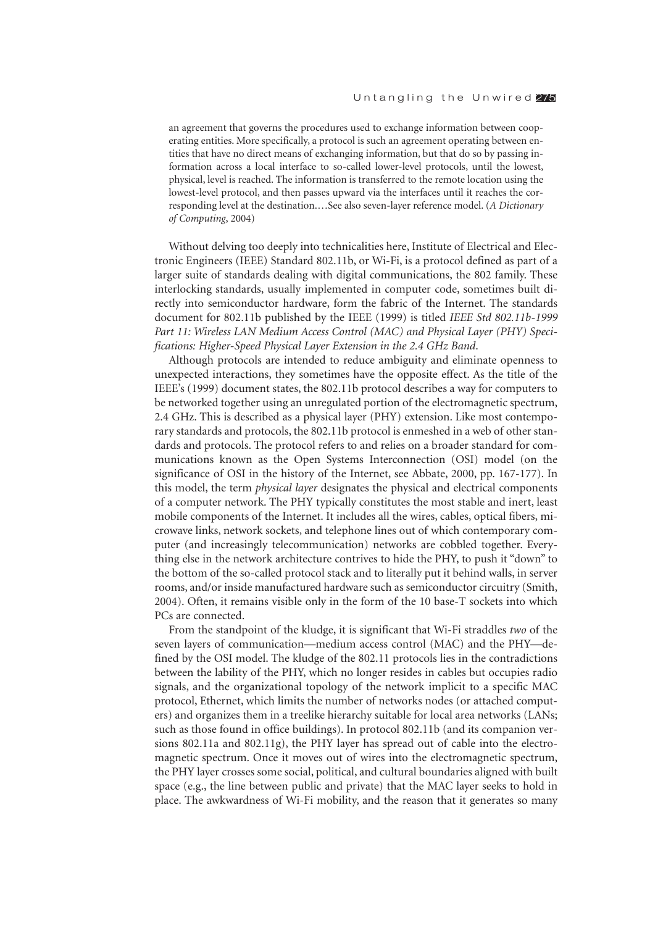an agreement that governs the procedures used to exchange information between cooperating entities. More specifically, a protocol is such an agreement operating between entities that have no direct means of exchanging information, but that do so by passing information across a local interface to so-called lower-level protocols, until the lowest, physical, level is reached. The information is transferred to the remote location using the lowest-level protocol, and then passes upward via the interfaces until it reaches the corresponding level at the destination.…See also seven-layer reference model. (*A Dictionary of Computing*, 2004)

Without delving too deeply into technicalities here, Institute of Electrical and Electronic Engineers (IEEE) Standard 802.11b, or Wi-Fi, is a protocol defined as part of a larger suite of standards dealing with digital communications, the 802 family. These interlocking standards, usually implemented in computer code, sometimes built directly into semiconductor hardware, form the fabric of the Internet. The standards document for 802.11b published by the IEEE (1999) is titled *IEEE Std 802.11b-1999 Part 11: Wireless LAN Medium Access Control (MAC) and Physical Layer (PHY) Specifications: Higher-Speed Physical Layer Extension in the 2.4 GHz Band*.

Although protocols are intended to reduce ambiguity and eliminate openness to unexpected interactions, they sometimes have the opposite effect. As the title of the IEEE's (1999) document states, the 802.11b protocol describes a way for computers to be networked together using an unregulated portion of the electromagnetic spectrum, 2.4 GHz. This is described as a physical layer (PHY) extension. Like most contemporary standards and protocols, the 802.11b protocol is enmeshed in a web of other standards and protocols. The protocol refers to and relies on a broader standard for communications known as the Open Systems Interconnection (OSI) model (on the significance of OSI in the history of the Internet, see Abbate, 2000, pp. 167-177). In this model, the term *physical layer* designates the physical and electrical components of a computer network. The PHY typically constitutes the most stable and inert, least mobile components of the Internet. It includes all the wires, cables, optical fibers, microwave links, network sockets, and telephone lines out of which contemporary computer (and increasingly telecommunication) networks are cobbled together. Everything else in the network architecture contrives to hide the PHY, to push it "down" to the bottom of the so-called protocol stack and to literally put it behind walls, in server rooms, and/or inside manufactured hardware such as semiconductor circuitry (Smith, 2004). Often, it remains visible only in the form of the 10 base-T sockets into which PCs are connected.

From the standpoint of the kludge, it is significant that Wi-Fi straddles *two* of the seven layers of communication—medium access control (MAC) and the PHY—defined by the OSI model. The kludge of the 802.11 protocols lies in the contradictions between the lability of the PHY, which no longer resides in cables but occupies radio signals, and the organizational topology of the network implicit to a specific MAC protocol, Ethernet, which limits the number of networks nodes (or attached computers) and organizes them in a treelike hierarchy suitable for local area networks (LANs; such as those found in office buildings). In protocol 802.11b (and its companion versions 802.11a and 802.11g), the PHY layer has spread out of cable into the electromagnetic spectrum. Once it moves out of wires into the electromagnetic spectrum, the PHY layer crosses some social, political, and cultural boundaries aligned with built space (e.g., the line between public and private) that the MAC layer seeks to hold in place. The awkwardness of Wi-Fi mobility, and the reason that it generates so many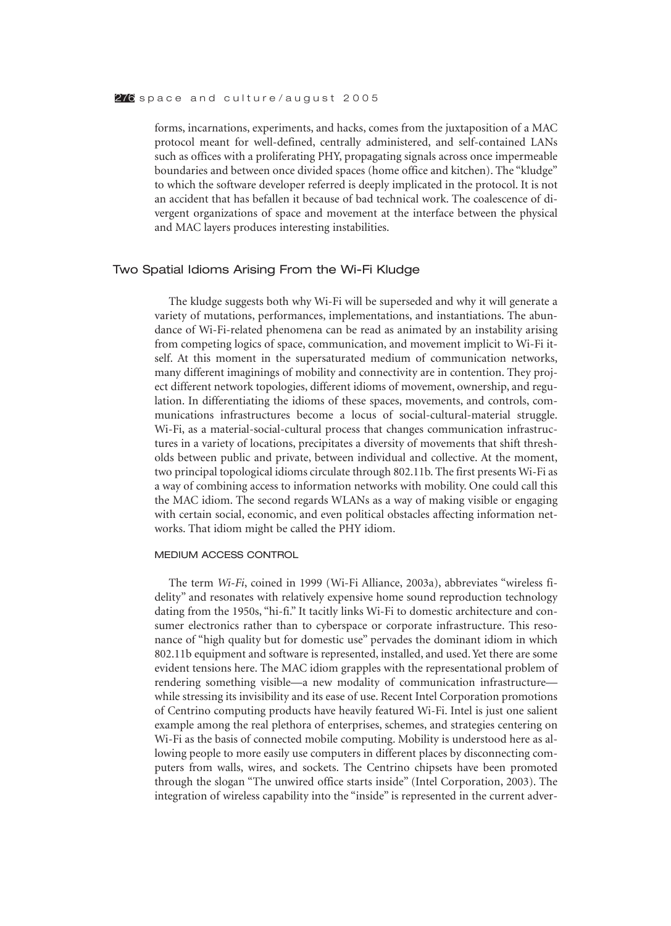forms, incarnations, experiments, and hacks, comes from the juxtaposition of a MAC protocol meant for well-defined, centrally administered, and self-contained LANs such as offices with a proliferating PHY, propagating signals across once impermeable boundaries and between once divided spaces (home office and kitchen). The "kludge" to which the software developer referred is deeply implicated in the protocol. It is not an accident that has befallen it because of bad technical work. The coalescence of divergent organizations of space and movement at the interface between the physical and MAC layers produces interesting instabilities.

#### Two Spatial Idioms Arising From the Wi-Fi Kludge

The kludge suggests both why Wi-Fi will be superseded and why it will generate a variety of mutations, performances, implementations, and instantiations. The abundance of Wi-Fi-related phenomena can be read as animated by an instability arising from competing logics of space, communication, and movement implicit to Wi-Fi itself. At this moment in the supersaturated medium of communication networks, many different imaginings of mobility and connectivity are in contention. They project different network topologies, different idioms of movement, ownership, and regulation. In differentiating the idioms of these spaces, movements, and controls, communications infrastructures become a locus of social-cultural-material struggle. Wi-Fi, as a material-social-cultural process that changes communication infrastructures in a variety of locations, precipitates a diversity of movements that shift thresholds between public and private, between individual and collective. At the moment, two principal topological idioms circulate through 802.11b. The first presents Wi-Fi as a way of combining access to information networks with mobility. One could call this the MAC idiom. The second regards WLANs as a way of making visible or engaging with certain social, economic, and even political obstacles affecting information networks. That idiom might be called the PHY idiom.

#### MEDIUM ACCESS CONTROL

The term *Wi-Fi*, coined in 1999 (Wi-Fi Alliance, 2003a), abbreviates "wireless fidelity" and resonates with relatively expensive home sound reproduction technology dating from the 1950s, "hi-fi." It tacitly links Wi-Fi to domestic architecture and consumer electronics rather than to cyberspace or corporate infrastructure. This resonance of "high quality but for domestic use" pervades the dominant idiom in which 802.11b equipment and software is represented, installed, and used. Yet there are some evident tensions here. The MAC idiom grapples with the representational problem of rendering something visible—a new modality of communication infrastructure while stressing its invisibility and its ease of use. Recent Intel Corporation promotions of Centrino computing products have heavily featured Wi-Fi. Intel is just one salient example among the real plethora of enterprises, schemes, and strategies centering on Wi-Fi as the basis of connected mobile computing. Mobility is understood here as allowing people to more easily use computers in different places by disconnecting computers from walls, wires, and sockets. The Centrino chipsets have been promoted through the slogan "The unwired office starts inside" (Intel Corporation, 2003). The integration of wireless capability into the "inside" is represented in the current adver-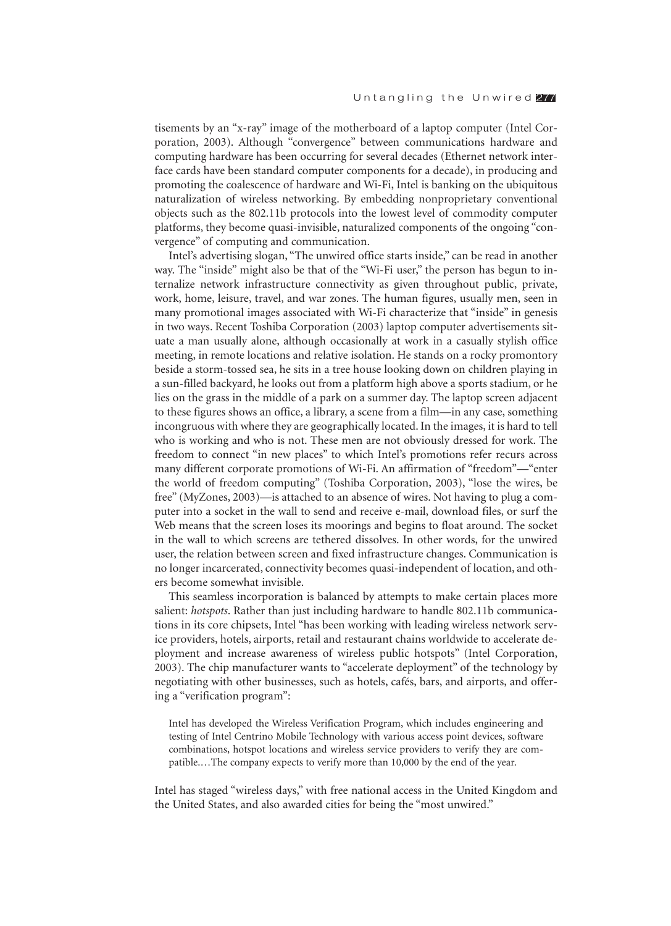tisements by an "x-ray" image of the motherboard of a laptop computer (Intel Corporation, 2003). Although "convergence" between communications hardware and computing hardware has been occurring for several decades (Ethernet network interface cards have been standard computer components for a decade), in producing and promoting the coalescence of hardware and Wi-Fi, Intel is banking on the ubiquitous naturalization of wireless networking. By embedding nonproprietary conventional objects such as the 802.11b protocols into the lowest level of commodity computer platforms, they become quasi-invisible, naturalized components of the ongoing "convergence" of computing and communication.

Intel's advertising slogan, "The unwired office starts inside," can be read in another way. The "inside" might also be that of the "Wi-Fi user," the person has begun to internalize network infrastructure connectivity as given throughout public, private, work, home, leisure, travel, and war zones. The human figures, usually men, seen in many promotional images associated with Wi-Fi characterize that "inside" in genesis in two ways. Recent Toshiba Corporation (2003) laptop computer advertisements situate a man usually alone, although occasionally at work in a casually stylish office meeting, in remote locations and relative isolation. He stands on a rocky promontory beside a storm-tossed sea, he sits in a tree house looking down on children playing in a sun-filled backyard, he looks out from a platform high above a sports stadium, or he lies on the grass in the middle of a park on a summer day. The laptop screen adjacent to these figures shows an office, a library, a scene from a film—in any case, something incongruous with where they are geographically located. In the images, it is hard to tell who is working and who is not. These men are not obviously dressed for work. The freedom to connect "in new places" to which Intel's promotions refer recurs across many different corporate promotions of Wi-Fi. An affirmation of "freedom"—"enter the world of freedom computing" (Toshiba Corporation, 2003), "lose the wires, be free" (MyZones, 2003)—is attached to an absence of wires. Not having to plug a computer into a socket in the wall to send and receive e-mail, download files, or surf the Web means that the screen loses its moorings and begins to float around. The socket in the wall to which screens are tethered dissolves. In other words, for the unwired user, the relation between screen and fixed infrastructure changes. Communication is no longer incarcerated, connectivity becomes quasi-independent of location, and others become somewhat invisible.

This seamless incorporation is balanced by attempts to make certain places more salient: *hotspots*. Rather than just including hardware to handle 802.11b communications in its core chipsets, Intel "has been working with leading wireless network service providers, hotels, airports, retail and restaurant chains worldwide to accelerate deployment and increase awareness of wireless public hotspots" (Intel Corporation, 2003). The chip manufacturer wants to "accelerate deployment" of the technology by negotiating with other businesses, such as hotels, cafés, bars, and airports, and offering a "verification program":

Intel has developed the Wireless Verification Program, which includes engineering and testing of Intel Centrino Mobile Technology with various access point devices, software combinations, hotspot locations and wireless service providers to verify they are compatible.…The company expects to verify more than 10,000 by the end of the year.

Intel has staged "wireless days," with free national access in the United Kingdom and the United States, and also awarded cities for being the "most unwired."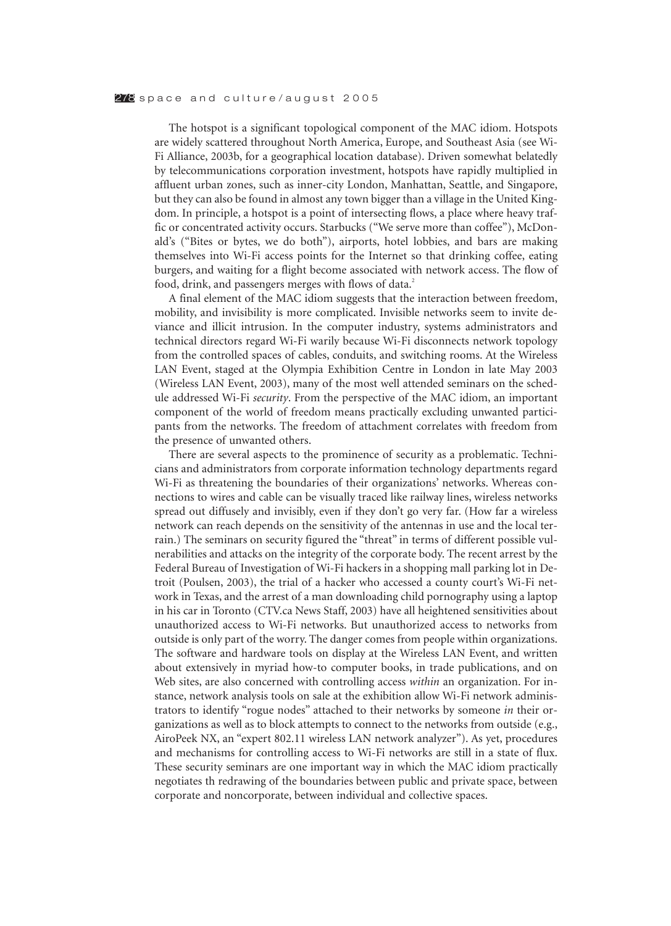The hotspot is a significant topological component of the MAC idiom. Hotspots are widely scattered throughout North America, Europe, and Southeast Asia (see Wi-Fi Alliance, 2003b, for a geographical location database). Driven somewhat belatedly by telecommunications corporation investment, hotspots have rapidly multiplied in affluent urban zones, such as inner-city London, Manhattan, Seattle, and Singapore, but they can also be found in almost any town bigger than a village in the United Kingdom. In principle, a hotspot is a point of intersecting flows, a place where heavy traffic or concentrated activity occurs. Starbucks ("We serve more than coffee"), McDonald's ("Bites or bytes, we do both"), airports, hotel lobbies, and bars are making themselves into Wi-Fi access points for the Internet so that drinking coffee, eating burgers, and waiting for a flight become associated with network access. The flow of food, drink, and passengers merges with flows of data.<sup>2</sup>

A final element of the MAC idiom suggests that the interaction between freedom, mobility, and invisibility is more complicated. Invisible networks seem to invite deviance and illicit intrusion. In the computer industry, systems administrators and technical directors regard Wi-Fi warily because Wi-Fi disconnects network topology from the controlled spaces of cables, conduits, and switching rooms. At the Wireless LAN Event, staged at the Olympia Exhibition Centre in London in late May 2003 (Wireless LAN Event, 2003), many of the most well attended seminars on the schedule addressed Wi-Fi *security*. From the perspective of the MAC idiom, an important component of the world of freedom means practically excluding unwanted participants from the networks. The freedom of attachment correlates with freedom from the presence of unwanted others.

There are several aspects to the prominence of security as a problematic. Technicians and administrators from corporate information technology departments regard Wi-Fi as threatening the boundaries of their organizations' networks. Whereas connections to wires and cable can be visually traced like railway lines, wireless networks spread out diffusely and invisibly, even if they don't go very far. (How far a wireless network can reach depends on the sensitivity of the antennas in use and the local terrain.) The seminars on security figured the "threat" in terms of different possible vulnerabilities and attacks on the integrity of the corporate body. The recent arrest by the Federal Bureau of Investigation of Wi-Fi hackers in a shopping mall parking lot in Detroit (Poulsen, 2003), the trial of a hacker who accessed a county court's Wi-Fi network in Texas, and the arrest of a man downloading child pornography using a laptop in his car in Toronto (CTV.ca News Staff, 2003) have all heightened sensitivities about unauthorized access to Wi-Fi networks. But unauthorized access to networks from outside is only part of the worry. The danger comes from people within organizations. The software and hardware tools on display at the Wireless LAN Event, and written about extensively in myriad how-to computer books, in trade publications, and on Web sites, are also concerned with controlling access *within* an organization. For instance, network analysis tools on sale at the exhibition allow Wi-Fi network administrators to identify "rogue nodes" attached to their networks by someone *in* their organizations as well as to block attempts to connect to the networks from outside (e.g., AiroPeek NX, an "expert 802.11 wireless LAN network analyzer"). As yet, procedures and mechanisms for controlling access to Wi-Fi networks are still in a state of flux. These security seminars are one important way in which the MAC idiom practically negotiates th redrawing of the boundaries between public and private space, between corporate and noncorporate, between individual and collective spaces.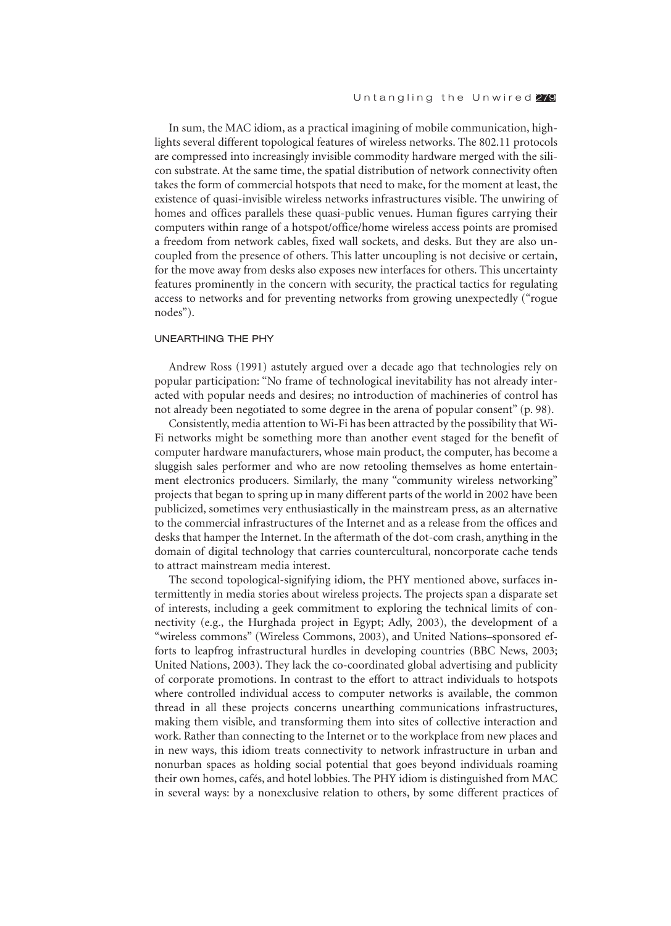In sum, the MAC idiom, as a practical imagining of mobile communication, highlights several different topological features of wireless networks. The 802.11 protocols are compressed into increasingly invisible commodity hardware merged with the silicon substrate. At the same time, the spatial distribution of network connectivity often takes the form of commercial hotspots that need to make, for the moment at least, the existence of quasi-invisible wireless networks infrastructures visible. The unwiring of homes and offices parallels these quasi-public venues. Human figures carrying their computers within range of a hotspot/office/home wireless access points are promised a freedom from network cables, fixed wall sockets, and desks. But they are also uncoupled from the presence of others. This latter uncoupling is not decisive or certain, for the move away from desks also exposes new interfaces for others. This uncertainty features prominently in the concern with security, the practical tactics for regulating access to networks and for preventing networks from growing unexpectedly ("rogue nodes").

#### UNEARTHING THE PHY

Andrew Ross (1991) astutely argued over a decade ago that technologies rely on popular participation: "No frame of technological inevitability has not already interacted with popular needs and desires; no introduction of machineries of control has not already been negotiated to some degree in the arena of popular consent" (p. 98).

Consistently, media attention to Wi-Fi has been attracted by the possibility that Wi-Fi networks might be something more than another event staged for the benefit of computer hardware manufacturers, whose main product, the computer, has become a sluggish sales performer and who are now retooling themselves as home entertainment electronics producers. Similarly, the many "community wireless networking" projects that began to spring up in many different parts of the world in 2002 have been publicized, sometimes very enthusiastically in the mainstream press, as an alternative to the commercial infrastructures of the Internet and as a release from the offices and desks that hamper the Internet. In the aftermath of the dot-com crash, anything in the domain of digital technology that carries countercultural, noncorporate cache tends to attract mainstream media interest.

The second topological-signifying idiom, the PHY mentioned above, surfaces intermittently in media stories about wireless projects. The projects span a disparate set of interests, including a geek commitment to exploring the technical limits of connectivity (e.g., the Hurghada project in Egypt; Adly, 2003), the development of a "wireless commons" (Wireless Commons, 2003), and United Nations–sponsored efforts to leapfrog infrastructural hurdles in developing countries (BBC News, 2003; United Nations, 2003). They lack the co-coordinated global advertising and publicity of corporate promotions. In contrast to the effort to attract individuals to hotspots where controlled individual access to computer networks is available, the common thread in all these projects concerns unearthing communications infrastructures, making them visible, and transforming them into sites of collective interaction and work. Rather than connecting to the Internet or to the workplace from new places and in new ways, this idiom treats connectivity to network infrastructure in urban and nonurban spaces as holding social potential that goes beyond individuals roaming their own homes, cafés, and hotel lobbies. The PHY idiom is distinguished from MAC in several ways: by a nonexclusive relation to others, by some different practices of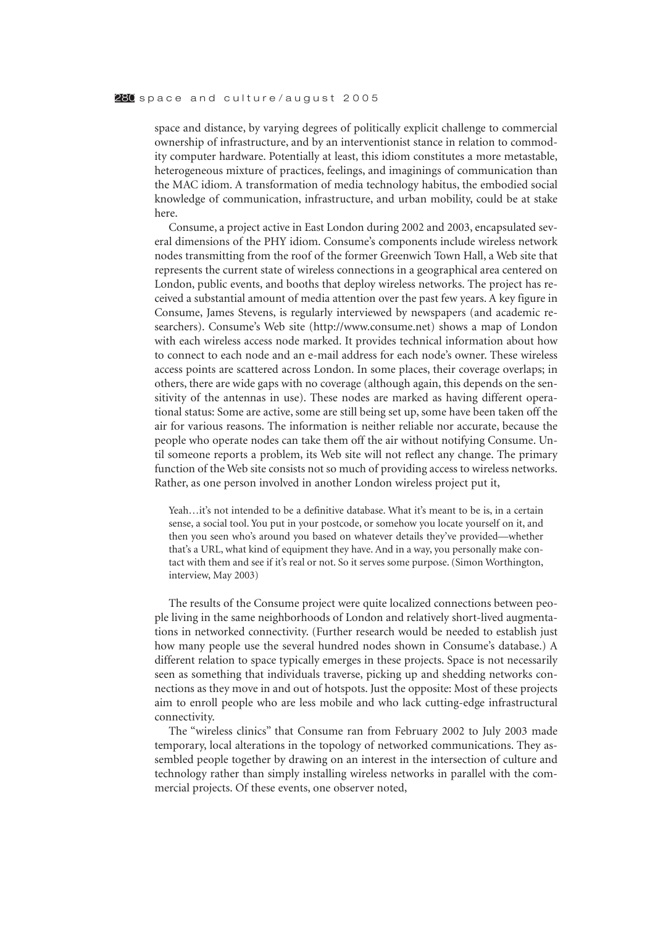space and distance, by varying degrees of politically explicit challenge to commercial ownership of infrastructure, and by an interventionist stance in relation to commodity computer hardware. Potentially at least, this idiom constitutes a more metastable, heterogeneous mixture of practices, feelings, and imaginings of communication than the MAC idiom. A transformation of media technology habitus, the embodied social knowledge of communication, infrastructure, and urban mobility, could be at stake here.

Consume, a project active in East London during 2002 and 2003, encapsulated several dimensions of the PHY idiom. Consume's components include wireless network nodes transmitting from the roof of the former Greenwich Town Hall, a Web site that represents the current state of wireless connections in a geographical area centered on London, public events, and booths that deploy wireless networks. The project has received a substantial amount of media attention over the past few years. A key figure in Consume, James Stevens, is regularly interviewed by newspapers (and academic researchers). Consume's Web site (http://www.consume.net) shows a map of London with each wireless access node marked. It provides technical information about how to connect to each node and an e-mail address for each node's owner. These wireless access points are scattered across London. In some places, their coverage overlaps; in others, there are wide gaps with no coverage (although again, this depends on the sensitivity of the antennas in use). These nodes are marked as having different operational status: Some are active, some are still being set up, some have been taken off the air for various reasons. The information is neither reliable nor accurate, because the people who operate nodes can take them off the air without notifying Consume. Until someone reports a problem, its Web site will not reflect any change. The primary function of the Web site consists not so much of providing access to wireless networks. Rather, as one person involved in another London wireless project put it,

Yeah…it's not intended to be a definitive database. What it's meant to be is, in a certain sense, a social tool. You put in your postcode, or somehow you locate yourself on it, and then you seen who's around you based on whatever details they've provided—whether that's a URL, what kind of equipment they have. And in a way, you personally make contact with them and see if it's real or not. So it serves some purpose. (Simon Worthington, interview, May 2003)

The results of the Consume project were quite localized connections between people living in the same neighborhoods of London and relatively short-lived augmentations in networked connectivity. (Further research would be needed to establish just how many people use the several hundred nodes shown in Consume's database.) A different relation to space typically emerges in these projects. Space is not necessarily seen as something that individuals traverse, picking up and shedding networks connections as they move in and out of hotspots. Just the opposite: Most of these projects aim to enroll people who are less mobile and who lack cutting-edge infrastructural connectivity.

The "wireless clinics" that Consume ran from February 2002 to July 2003 made temporary, local alterations in the topology of networked communications. They assembled people together by drawing on an interest in the intersection of culture and technology rather than simply installing wireless networks in parallel with the commercial projects. Of these events, one observer noted,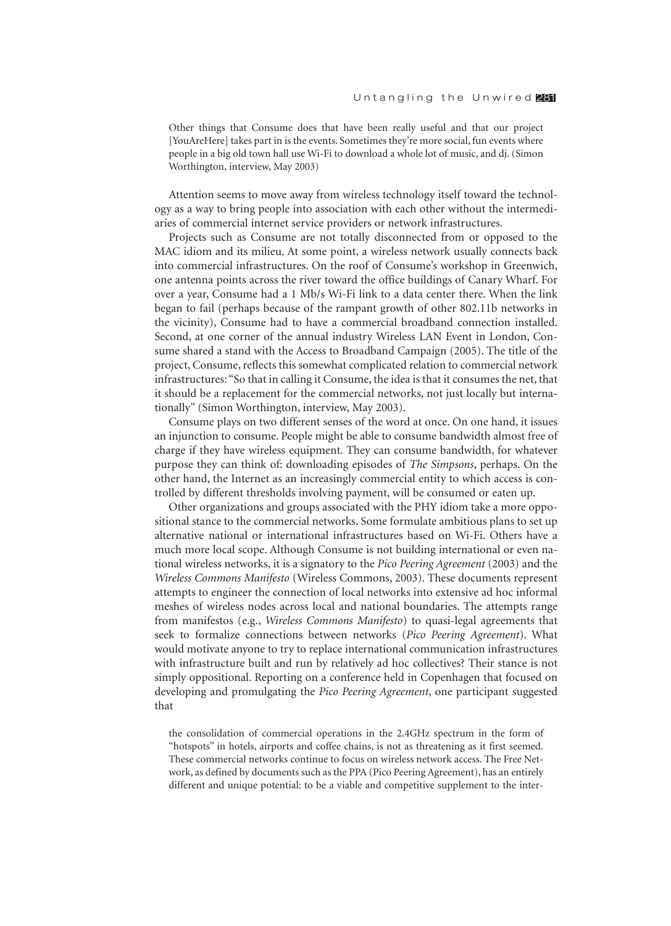Other things that Consume does that have been really useful and that our project [YouAreHere] takes part in is the events. Sometimes they're more social, fun events where people in a big old town hall use Wi-Fi to download a whole lot of music, and dj. (Simon Worthington, interview, May 2003)

Attention seems to move away from wireless technology itself toward the technology as a way to bring people into association with each other without the intermediaries of commercial internet service providers or network infrastructures.

Projects such as Consume are not totally disconnected from or opposed to the MAC idiom and its milieu. At some point, a wireless network usually connects back into commercial infrastructures. On the roof of Consume's workshop in Greenwich, one antenna points across the river toward the office buildings of Canary Wharf. For over a year, Consume had a 1 Mb/s Wi-Fi link to a data center there. When the link began to fail (perhaps because of the rampant growth of other 802.11b networks in the vicinity), Consume had to have a commercial broadband connection installed. Second, at one corner of the annual industry Wireless LAN Event in London, Consume shared a stand with the Access to Broadband Campaign (2005). The title of the project, Consume, reflects this somewhat complicated relation to commercial network infrastructures: "So that in calling it Consume, the idea is that it consumes the net, that it should be a replacement for the commercial networks, not just locally but internationally" (Simon Worthington, interview, May 2003).

Consume plays on two different senses of the word at once. On one hand, it issues an injunction to consume. People might be able to consume bandwidth almost free of charge if they have wireless equipment. They can consume bandwidth, for whatever purpose they can think of: downloading episodes of *The Simpsons*, perhaps. On the other hand, the Internet as an increasingly commercial entity to which access is controlled by different thresholds involving payment, will be consumed or eaten up.

Other organizations and groups associated with the PHY idiom take a more oppositional stance to the commercial networks. Some formulate ambitious plans to set up alternative national or international infrastructures based on Wi-Fi. Others have a much more local scope. Although Consume is not building international or even national wireless networks, it is a signatory to the *Pico Peering Agreement* (2003) and the *Wireless Commons Manifesto* (Wireless Commons, 2003). These documents represent attempts to engineer the connection of local networks into extensive ad hoc informal meshes of wireless nodes across local and national boundaries. The attempts range from manifestos (e.g., *Wireless Commons Manifesto*) to quasi-legal agreements that seek to formalize connections between networks (*Pico Peering Agreement*). What would motivate anyone to try to replace international communication infrastructures with infrastructure built and run by relatively ad hoc collectives? Their stance is not simply oppositional. Reporting on a conference held in Copenhagen that focused on developing and promulgating the *Pico Peering Agreement*, one participant suggested that

the consolidation of commercial operations in the 2.4GHz spectrum in the form of "hotspots" in hotels, airports and coffee chains, is not as threatening as it first seemed. These commercial networks continue to focus on wireless network access. The Free Network, as defined by documents such as the PPA (Pico Peering Agreement), has an entirely different and unique potential: to be a viable and competitive supplement to the inter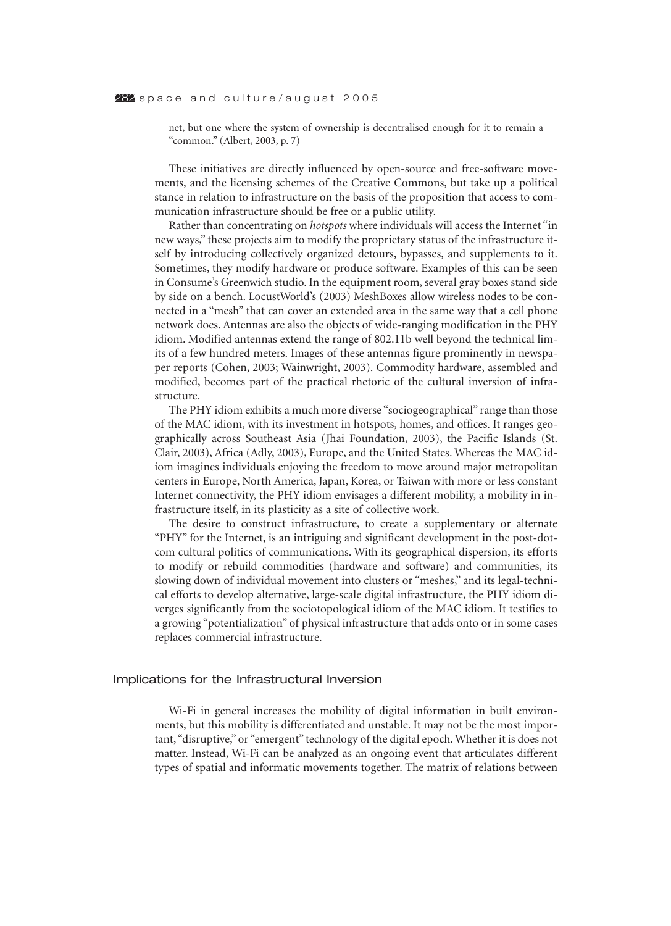net, but one where the system of ownership is decentralised enough for it to remain a "common." (Albert, 2003, p. 7)

These initiatives are directly influenced by open-source and free-software movements, and the licensing schemes of the Creative Commons, but take up a political stance in relation to infrastructure on the basis of the proposition that access to communication infrastructure should be free or a public utility.

Rather than concentrating on *hotspots* where individuals will access the Internet "in new ways," these projects aim to modify the proprietary status of the infrastructure itself by introducing collectively organized detours, bypasses, and supplements to it. Sometimes, they modify hardware or produce software. Examples of this can be seen in Consume's Greenwich studio. In the equipment room, several gray boxes stand side by side on a bench. LocustWorld's (2003) MeshBoxes allow wireless nodes to be connected in a "mesh" that can cover an extended area in the same way that a cell phone network does. Antennas are also the objects of wide-ranging modification in the PHY idiom. Modified antennas extend the range of 802.11b well beyond the technical limits of a few hundred meters. Images of these antennas figure prominently in newspaper reports (Cohen, 2003; Wainwright, 2003). Commodity hardware, assembled and modified, becomes part of the practical rhetoric of the cultural inversion of infrastructure.

The PHY idiom exhibits a much more diverse "sociogeographical" range than those of the MAC idiom, with its investment in hotspots, homes, and offices. It ranges geographically across Southeast Asia (Jhai Foundation, 2003), the Pacific Islands (St. Clair, 2003), Africa (Adly, 2003), Europe, and the United States. Whereas the MAC idiom imagines individuals enjoying the freedom to move around major metropolitan centers in Europe, North America, Japan, Korea, or Taiwan with more or less constant Internet connectivity, the PHY idiom envisages a different mobility, a mobility in infrastructure itself, in its plasticity as a site of collective work.

The desire to construct infrastructure, to create a supplementary or alternate "PHY" for the Internet, is an intriguing and significant development in the post-dotcom cultural politics of communications. With its geographical dispersion, its efforts to modify or rebuild commodities (hardware and software) and communities, its slowing down of individual movement into clusters or "meshes," and its legal-technical efforts to develop alternative, large-scale digital infrastructure, the PHY idiom diverges significantly from the sociotopological idiom of the MAC idiom. It testifies to a growing "potentialization" of physical infrastructure that adds onto or in some cases replaces commercial infrastructure.

#### Implications for the Infrastructural Inversion

Wi-Fi in general increases the mobility of digital information in built environments, but this mobility is differentiated and unstable. It may not be the most important,"disruptive," or "emergent" technology of the digital epoch. Whether it is does not matter. Instead, Wi-Fi can be analyzed as an ongoing event that articulates different types of spatial and informatic movements together. The matrix of relations between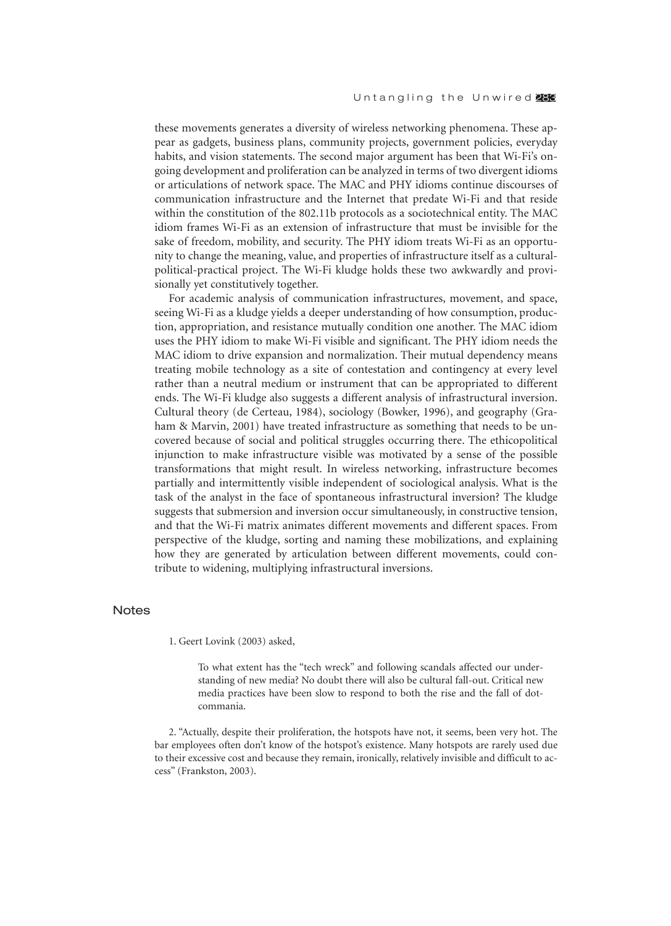these movements generates a diversity of wireless networking phenomena. These appear as gadgets, business plans, community projects, government policies, everyday habits, and vision statements. The second major argument has been that Wi-Fi's ongoing development and proliferation can be analyzed in terms of two divergent idioms or articulations of network space. The MAC and PHY idioms continue discourses of communication infrastructure and the Internet that predate Wi-Fi and that reside within the constitution of the 802.11b protocols as a sociotechnical entity. The MAC idiom frames Wi-Fi as an extension of infrastructure that must be invisible for the sake of freedom, mobility, and security. The PHY idiom treats Wi-Fi as an opportunity to change the meaning, value, and properties of infrastructure itself as a culturalpolitical-practical project. The Wi-Fi kludge holds these two awkwardly and provisionally yet constitutively together.

For academic analysis of communication infrastructures, movement, and space, seeing Wi-Fi as a kludge yields a deeper understanding of how consumption, production, appropriation, and resistance mutually condition one another. The MAC idiom uses the PHY idiom to make Wi-Fi visible and significant. The PHY idiom needs the MAC idiom to drive expansion and normalization. Their mutual dependency means treating mobile technology as a site of contestation and contingency at every level rather than a neutral medium or instrument that can be appropriated to different ends. The Wi-Fi kludge also suggests a different analysis of infrastructural inversion. Cultural theory (de Certeau, 1984), sociology (Bowker, 1996), and geography (Graham & Marvin, 2001) have treated infrastructure as something that needs to be uncovered because of social and political struggles occurring there. The ethicopolitical injunction to make infrastructure visible was motivated by a sense of the possible transformations that might result. In wireless networking, infrastructure becomes partially and intermittently visible independent of sociological analysis. What is the task of the analyst in the face of spontaneous infrastructural inversion? The kludge suggests that submersion and inversion occur simultaneously, in constructive tension, and that the Wi-Fi matrix animates different movements and different spaces. From perspective of the kludge, sorting and naming these mobilizations, and explaining how they are generated by articulation between different movements, could contribute to widening, multiplying infrastructural inversions.

### **Notes**

1. Geert Lovink (2003) asked,

To what extent has the "tech wreck" and following scandals affected our understanding of new media? No doubt there will also be cultural fall-out. Critical new media practices have been slow to respond to both the rise and the fall of dotcommania.

2. "Actually, despite their proliferation, the hotspots have not, it seems, been very hot. The bar employees often don't know of the hotspot's existence. Many hotspots are rarely used due to their excessive cost and because they remain, ironically, relatively invisible and difficult to access" (Frankston, 2003).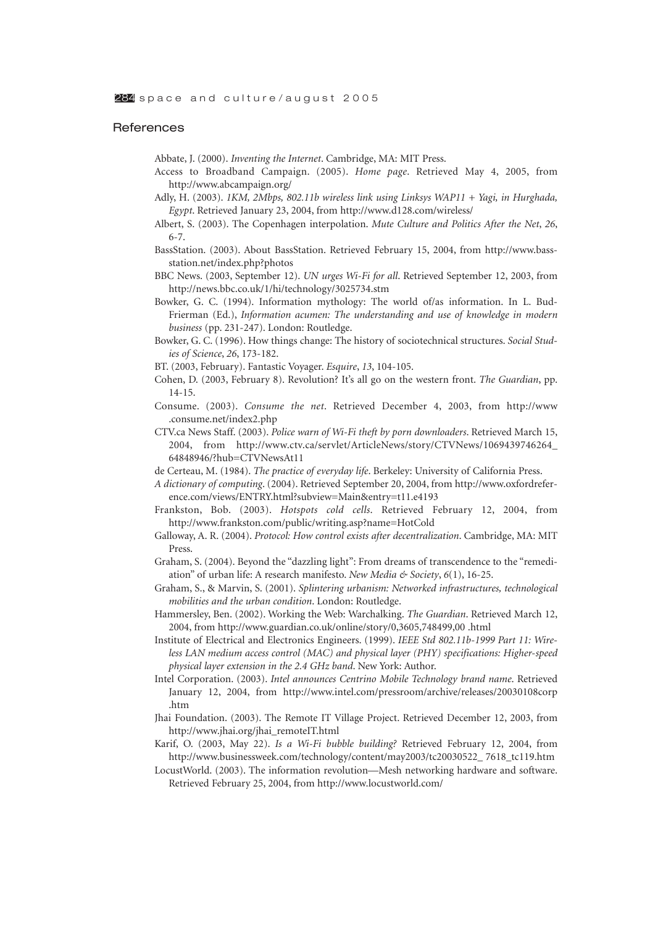#### **References**

Abbate, J. (2000). *Inventing the Internet*. Cambridge, MA: MIT Press.

- Access to Broadband Campaign. (2005). *Home page*. Retrieved May 4, 2005, from http://www.abcampaign.org/
- Adly, H. (2003). *1KM, 2Mbps, 802.11b wireless link using Linksys WAP11 + Yagi, in Hurghada, Egypt*. Retrieved January 23, 2004, from http://www.d128.com/wireless/
- Albert, S. (2003). The Copenhagen interpolation. *Mute Culture and Politics After the Net*, *26*, 6-7.
- BassStation. (2003). About BassStation. Retrieved February 15, 2004, from http://www.bassstation.net/index.php?photos
- BBC News. (2003, September 12). *UN urges Wi-Fi for all*. Retrieved September 12, 2003, from http://news.bbc.co.uk/1/hi/technology/3025734.stm
- Bowker, G. C. (1994). Information mythology: The world of/as information. In L. Bud-Frierman (Ed.), *Information acumen: The understanding and use of knowledge in modern business* (pp. 231-247). London: Routledge.
- Bowker, G. C. (1996). How things change: The history of sociotechnical structures. *Social Studies of Science*, *26*, 173-182.
- BT. (2003, February). Fantastic Voyager. *Esquire*, *13*, 104-105.
- Cohen, D. (2003, February 8). Revolution? It's all go on the western front. *The Guardian*, pp. 14-15.
- Consume. (2003). *Consume the net*. Retrieved December 4, 2003, from http://www .consume.net/index2.php
- CTV.ca News Staff. (2003). *Police warn of Wi-Fi theft by porn downloaders*. Retrieved March 15, 2004, from http://www.ctv.ca/servlet/ArticleNews/story/CTVNews/1069439746264\_ 64848946/?hub=CTVNewsAt11
- de Certeau, M. (1984). *The practice of everyday life*. Berkeley: University of California Press.
- *A dictionary of computing*. (2004). Retrieved September 20, 2004, from http://www.oxfordreference.com/views/ENTRY.html?subview=Main&entry=t11.e4193
- Frankston, Bob. (2003). *Hotspots cold cells*. Retrieved February 12, 2004, from http://www.frankston.com/public/writing.asp?name=HotCold
- Galloway, A. R. (2004). *Protocol: How control exists after decentralization*. Cambridge, MA: MIT Press.
- Graham, S. (2004). Beyond the "dazzling light": From dreams of transcendence to the "remediation" of urban life: A research manifesto. *New Media & Society*, *6*(1), 16-25.
- Graham, S., & Marvin, S. (2001). *Splintering urbanism: Networked infrastructures, technological mobilities and the urban condition*. London: Routledge.
- Hammersley, Ben. (2002). Working the Web: Warchalking. *The Guardian*. Retrieved March 12, 2004, from http://www.guardian.co.uk/online/story/0,3605,748499,00 .html
- Institute of Electrical and Electronics Engineers. (1999). *IEEE Std 802.11b-1999 Part 11: Wireless LAN medium access control (MAC) and physical layer (PHY) specifications: Higher-speed physical layer extension in the 2.4 GHz band*. New York: Author.
- Intel Corporation. (2003). *Intel announces Centrino Mobile Technology brand name*. Retrieved January 12, 2004, from http://www.intel.com/pressroom/archive/releases/20030108corp .htm
- Jhai Foundation. (2003). The Remote IT Village Project. Retrieved December 12, 2003, from http://www.jhai.org/jhai\_remoteIT.html
- Karif, O. (2003, May 22). *Is a Wi-Fi bubble building?* Retrieved February 12, 2004, from http://www.businessweek.com/technology/content/may2003/tc20030522\_ 7618\_tc119.htm
- LocustWorld. (2003). The information revolution—Mesh networking hardware and software. Retrieved February 25, 2004, from http://www.locustworld.com/